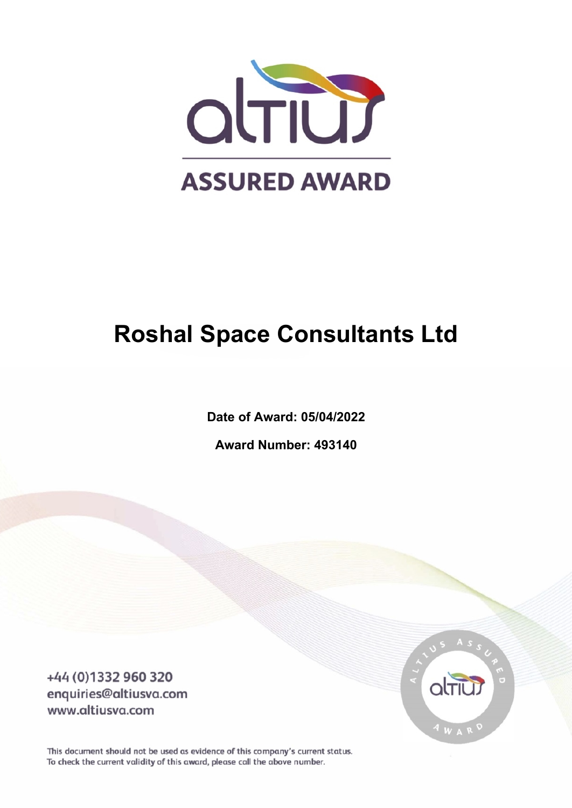

# **Roshal Space Consultants Ltd**

**Date of Award: 05/04/2022**

**Award Number: 493140**

+44 (0)1332 960 320 enquiries@altiusva.com www.altiusva.com



This document should not be used as evidence of this company's current status. To check the current validity of this award, please call the above number.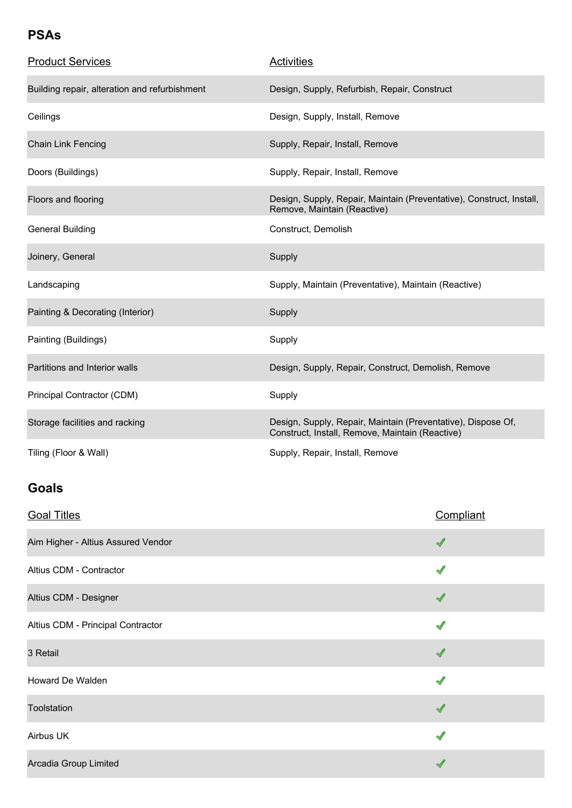#### **PSAs**

| <b>Product Services</b>                       | <b>Activities</b>                                                                                               |
|-----------------------------------------------|-----------------------------------------------------------------------------------------------------------------|
| Building repair, alteration and refurbishment | Design, Supply, Refurbish, Repair, Construct                                                                    |
| Ceilings                                      | Design, Supply, Install, Remove                                                                                 |
| <b>Chain Link Fencing</b>                     | Supply, Repair, Install, Remove                                                                                 |
| Doors (Buildings)                             | Supply, Repair, Install, Remove                                                                                 |
| Floors and flooring                           | Design, Supply, Repair, Maintain (Preventative), Construct, Install,<br>Remove, Maintain (Reactive)             |
| <b>General Building</b>                       | Construct, Demolish                                                                                             |
| Joinery, General                              | Supply                                                                                                          |
| Landscaping                                   | Supply, Maintain (Preventative), Maintain (Reactive)                                                            |
| Painting & Decorating (Interior)              | Supply                                                                                                          |
| Painting (Buildings)                          | Supply                                                                                                          |
| Partitions and Interior walls                 | Design, Supply, Repair, Construct, Demolish, Remove                                                             |
| Principal Contractor (CDM)                    | Supply                                                                                                          |
| Storage facilities and racking                | Design, Supply, Repair, Maintain (Preventative), Dispose Of,<br>Construct, Install, Remove, Maintain (Reactive) |
| Tiling (Floor & Wall)                         | Supply, Repair, Install, Remove                                                                                 |

### **Goals**

| <b>Goal Titles</b>                 | Compliant |
|------------------------------------|-----------|
| Aim Higher - Altius Assured Vendor |           |
| Altius CDM - Contractor            |           |
| Altius CDM - Designer              |           |
| Altius CDM - Principal Contractor  |           |
| 3 Retail                           |           |
| Howard De Walden                   |           |
| Toolstation                        |           |
| Airbus UK                          |           |
| Arcadia Group Limited              |           |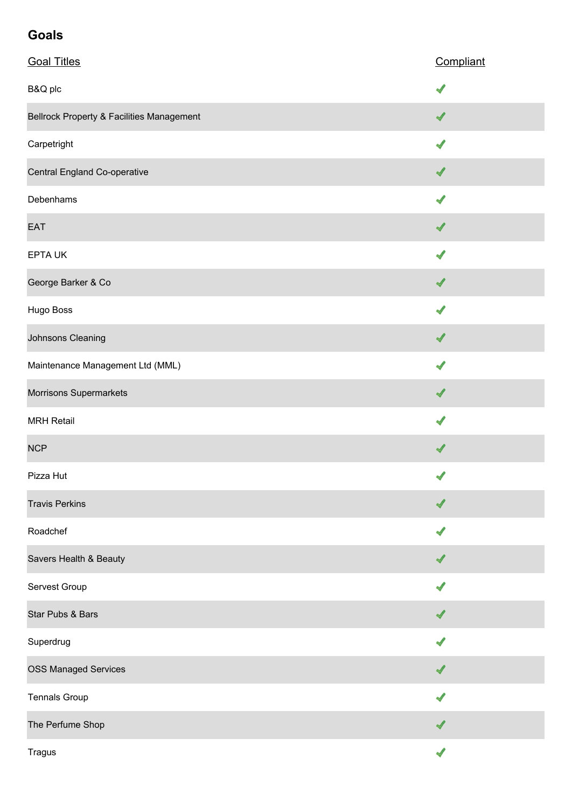## **Goals**

| <b>Goal Titles</b>                        | Compliant                |
|-------------------------------------------|--------------------------|
| B&Q plc                                   |                          |
| Bellrock Property & Facilities Management | √                        |
| Carpetright                               | J                        |
| Central England Co-operative              | ✔                        |
| Debenhams                                 | ✔                        |
| EAT                                       | ✔                        |
| <b>EPTA UK</b>                            | √                        |
| George Barker & Co                        | √                        |
| Hugo Boss                                 | √                        |
| Johnsons Cleaning                         | √                        |
| Maintenance Management Ltd (MML)          |                          |
| Morrisons Supermarkets                    | $\overline{\mathcal{A}}$ |
| <b>MRH Retail</b>                         |                          |
| <b>NCP</b>                                | ✔                        |
| Pizza Hut                                 | √                        |
| <b>Travis Perkins</b>                     | √                        |
| Roadchef                                  |                          |
| Savers Health & Beauty                    | ℐ                        |
| Servest Group                             |                          |
| Star Pubs & Bars                          | ✔                        |
| Superdrug                                 |                          |
| <b>OSS Managed Services</b>               |                          |
| <b>Tennals Group</b>                      | J                        |
| The Perfume Shop                          |                          |
| <b>Tragus</b>                             |                          |